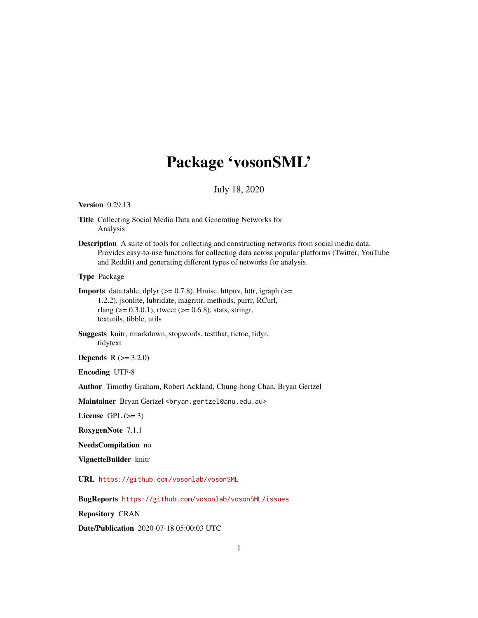# Package 'vosonSML'

# July 18, 2020

#### <span id="page-0-0"></span>Version 0.29.13

- Title Collecting Social Media Data and Generating Networks for Analysis
- Description A suite of tools for collecting and constructing networks from social media data. Provides easy-to-use functions for collecting data across popular platforms (Twitter, YouTube and Reddit) and generating different types of networks for analysis.

Type Package

- **Imports** data.table, dplyr  $(>= 0.7.8)$ , Hmisc, httpuv, httr, igraph  $(>= 0.7.8)$ 1.2.2), jsonlite, lubridate, magrittr, methods, purrr, RCurl, rlang ( $> = 0.3.0.1$ ), rtweet ( $> = 0.6.8$ ), stats, stringr, textutils, tibble, utils
- Suggests knitr, rmarkdown, stopwords, testthat, tictoc, tidyr, tidytext

**Depends**  $R (= 3.2.0)$ 

Encoding UTF-8

Author Timothy Graham, Robert Ackland, Chung-hong Chan, Bryan Gertzel

Maintainer Bryan Gertzel <br />
cortzel@anu.edu.au>

License GPL  $(>= 3)$ 

RoxygenNote 7.1.1

NeedsCompilation no

VignetteBuilder knitr

URL <https://github.com/vosonlab/vosonSML>

BugReports <https://github.com/vosonlab/vosonSML/issues>

Repository CRAN

Date/Publication 2020-07-18 05:00:03 UTC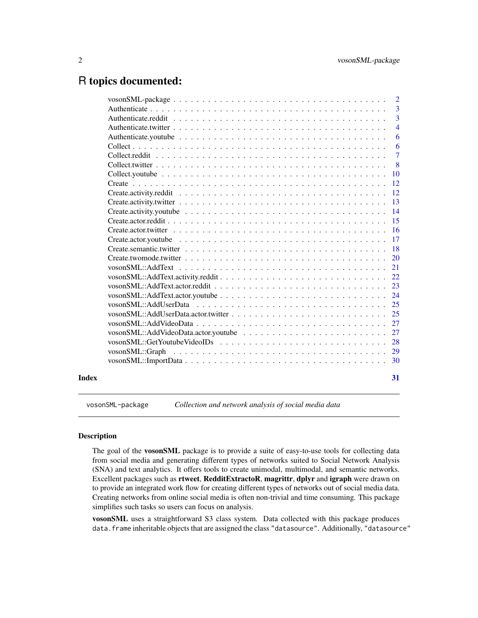# <span id="page-1-0"></span>R topics documented:

|       |                                                                                                                      | $\overline{2}$ |
|-------|----------------------------------------------------------------------------------------------------------------------|----------------|
|       |                                                                                                                      | 3              |
|       |                                                                                                                      | $\overline{3}$ |
|       |                                                                                                                      | $\overline{4}$ |
|       |                                                                                                                      | 6              |
|       |                                                                                                                      | 6              |
|       |                                                                                                                      | $\overline{7}$ |
|       |                                                                                                                      | 8              |
|       |                                                                                                                      | 10             |
|       |                                                                                                                      | 12             |
|       |                                                                                                                      | 12             |
|       |                                                                                                                      | 13             |
|       | Create.activity.youtube $\ldots \ldots \ldots \ldots \ldots \ldots \ldots \ldots \ldots \ldots \ldots \ldots \ldots$ | 14             |
|       |                                                                                                                      | 15             |
|       |                                                                                                                      | 16             |
|       |                                                                                                                      | 17             |
|       |                                                                                                                      | 18             |
|       |                                                                                                                      | 20             |
|       |                                                                                                                      | 21             |
|       |                                                                                                                      | 22             |
|       |                                                                                                                      | 23             |
|       |                                                                                                                      | 24             |
|       |                                                                                                                      | 25             |
|       |                                                                                                                      | 25             |
|       |                                                                                                                      | 27             |
|       |                                                                                                                      | 27             |
|       |                                                                                                                      | 28             |
|       |                                                                                                                      | 29             |
|       |                                                                                                                      | 30             |
|       |                                                                                                                      |                |
| Index |                                                                                                                      | 31             |

vosonSML-package *Collection and network analysis of social media data*

# Description

The goal of the vosonSML package is to provide a suite of easy-to-use tools for collecting data from social media and generating different types of networks suited to Social Network Analysis (SNA) and text analytics. It offers tools to create unimodal, multimodal, and semantic networks. Excellent packages such as rtweet, RedditExtractoR, magrittr, dplyr and igraph were drawn on to provide an integrated work flow for creating different types of networks out of social media data. Creating networks from online social media is often non-trivial and time consuming. This package simplifies such tasks so users can focus on analysis.

vosonSML uses a straightforward S3 class system. Data collected with this package produces data. frame inheritable objects that are assigned the class "datasource". Additionally, "datasource"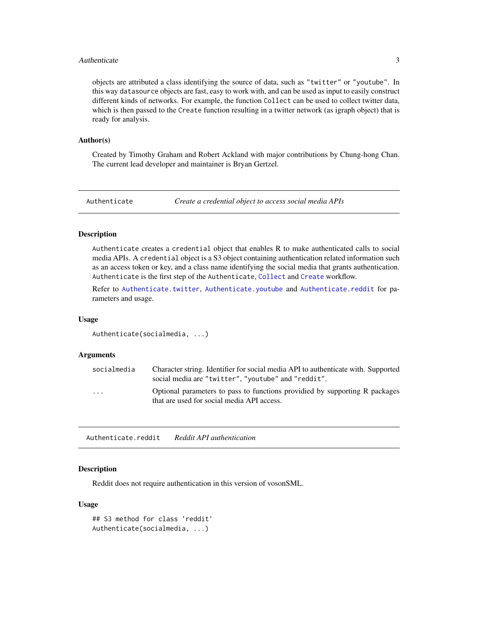#### <span id="page-2-0"></span>Authenticate 3

objects are attributed a class identifying the source of data, such as "twitter" or "youtube". In this way datasource objects are fast, easy to work with, and can be used as input to easily construct different kinds of networks. For example, the function Collect can be used to collect twitter data, which is then passed to the Create function resulting in a twitter network (as igraph object) that is ready for analysis.

#### Author(s)

Created by Timothy Graham and Robert Ackland with major contributions by Chung-hong Chan. The current lead developer and maintainer is Bryan Gertzel.

<span id="page-2-2"></span>Authenticate *Create a credential object to access social media APIs*

#### Description

Authenticate creates a credential object that enables R to make authenticated calls to social media APIs. A credential object is a S3 object containing authentication related information such as an access token or key, and a class name identifying the social media that grants authentication. Authenticate is the first step of the Authenticate, [Collect](#page-5-1) and [Create](#page-11-1) workflow.

Refer to [Authenticate.twitter](#page-3-1), [Authenticate.youtube](#page-5-2) and [Authenticate.reddit](#page-2-1) for parameters and usage.

#### Usage

Authenticate(socialmedia, ...)

# Arguments

| socialmedia | Character string. Identifier for social media API to authenticate with. Supported<br>social media are "twitter", "youtube" and "reddit". |
|-------------|------------------------------------------------------------------------------------------------------------------------------------------|
| .           | Optional parameters to pass to functions providied by supporting R packages<br>that are used for social media API access.                |

<span id="page-2-1"></span>Authenticate.reddit *Reddit API authentication*

#### Description

Reddit does not require authentication in this version of vosonSML.

```
## S3 method for class 'reddit'
Authenticate(socialmedia, ...)
```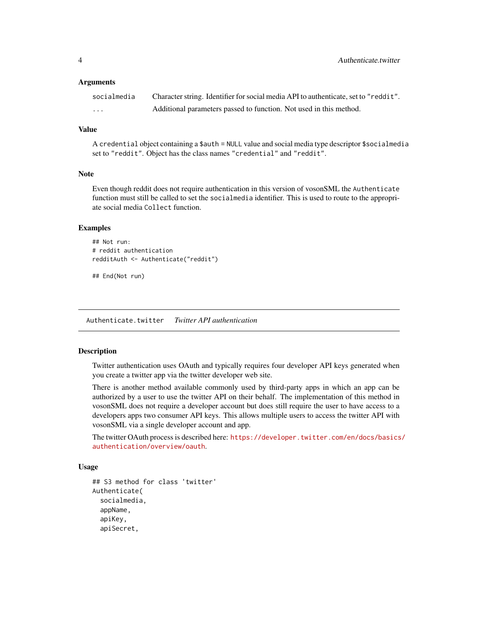<span id="page-3-0"></span>

| socialmedia | Character string. Identifier for social media API to authenticate, set to "reddit". |
|-------------|-------------------------------------------------------------------------------------|
| .           | Additional parameters passed to function. Not used in this method.                  |

#### Value

A credential object containing a \$auth = NULL value and social media type descriptor \$socialmedia set to "reddit". Object has the class names "credential" and "reddit".

#### Note

Even though reddit does not require authentication in this version of vosonSML the Authenticate function must still be called to set the socialmedia identifier. This is used to route to the appropriate social media Collect function.

# Examples

```
## Not run:
# reddit authentication
redditAuth <- Authenticate("reddit")
```
## End(Not run)

<span id="page-3-1"></span>Authenticate.twitter *Twitter API authentication*

# Description

Twitter authentication uses OAuth and typically requires four developer API keys generated when you create a twitter app via the twitter developer web site.

There is another method available commonly used by third-party apps in which an app can be authorized by a user to use the twitter API on their behalf. The implementation of this method in vosonSML does not require a developer account but does still require the user to have access to a developers apps two consumer API keys. This allows multiple users to access the twitter API with vosonSML via a single developer account and app.

The twitter OAuth process is described here: [https://developer.twitter.com/en/docs/basics](https://developer.twitter.com/en/docs/basics/authentication/overview/oauth)/ [authentication/overview/oauth](https://developer.twitter.com/en/docs/basics/authentication/overview/oauth).

```
## S3 method for class 'twitter'
Authenticate(
  socialmedia,
  appName,
  apiKey,
  apiSecret,
```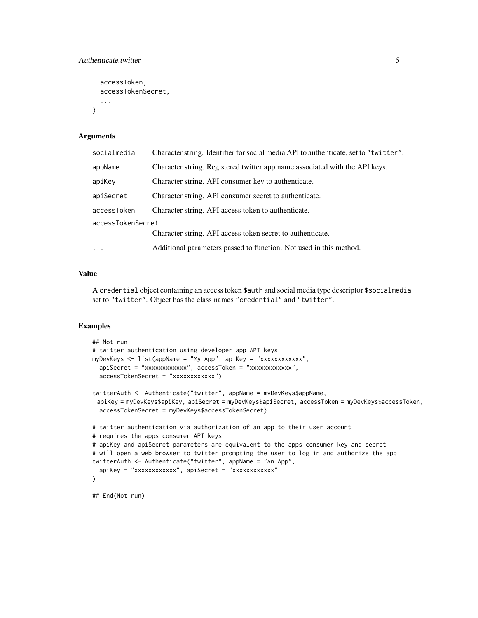```
accessToken,
  accessTokenSecret,
  ...
\lambda
```

| socialmedia       | Character string. Identifier for social media API to authenticate, set to "twitter". |  |
|-------------------|--------------------------------------------------------------------------------------|--|
| appName           | Character string. Registered twitter app name associated with the API keys.          |  |
| apiKey            | Character string. API consumer key to authenticate.                                  |  |
| apiSecret         | Character string. API consumer secret to authenticate.                               |  |
| accessToken       | Character string. API access token to authenticate.                                  |  |
| accessTokenSecret |                                                                                      |  |
|                   | Character string. API access token secret to authenticate.                           |  |
| $\ddots$          | Additional parameters passed to function. Not used in this method.                   |  |
|                   |                                                                                      |  |

#### Value

A credential object containing an access token \$auth and social media type descriptor \$socialmedia set to "twitter". Object has the class names "credential" and "twitter".

# Examples

```
## Not run:
# twitter authentication using developer app API keys
myDevKeys <- list(appName = "My App", apiKey = "xxxxxxxxxxxx",
  apiSecret = "xxxxxxxxxxxx", accessToken = "xxxxxxxxxxxx",
  accessTokenSecret = "xxxxxxxxxxxx")
twitterAuth <- Authenticate("twitter", appName = myDevKeys$appName,
 apiKey = myDevKeys$apiKey, apiSecret = myDevKeys$apiSecret, accessToken = myDevKeys$accessToken,
  accessTokenSecret = myDevKeys$accessTokenSecret)
# twitter authentication via authorization of an app to their user account
# requires the apps consumer API keys
# apiKey and apiSecret parameters are equivalent to the apps consumer key and secret
# will open a web browser to twitter prompting the user to log in and authorize the app
twitterAuth <- Authenticate("twitter", appName = "An App",
  apiKey = "xxxxxxxxxxxx", apiSecret = "xxxxxxxxxxxx"
)
## End(Not run)
```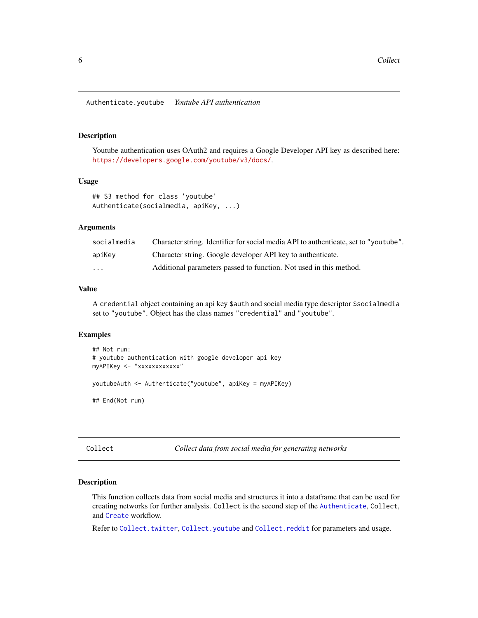<span id="page-5-2"></span><span id="page-5-0"></span>Authenticate.youtube *Youtube API authentication*

#### Description

Youtube authentication uses OAuth2 and requires a Google Developer API key as described here: <https://developers.google.com/youtube/v3/docs/>.

#### Usage

```
## S3 method for class 'youtube'
Authenticate(socialmedia, apiKey, ...)
```
# Arguments

| socialmedia | Character string. Identifier for social media API to authenticate, set to "youtube". |
|-------------|--------------------------------------------------------------------------------------|
| apiKey      | Character string. Google developer API key to authenticate.                          |
| .           | Additional parameters passed to function. Not used in this method.                   |

# Value

A credential object containing an api key \$auth and social media type descriptor \$socialmedia set to "youtube". Object has the class names "credential" and "youtube".

# Examples

```
## Not run:
# youtube authentication with google developer api key
myAPIKey <- "xxxxxxxxxxxx"
youtubeAuth <- Authenticate("youtube", apiKey = myAPIKey)
## End(Not run)
```
<span id="page-5-1"></span>Collect *Collect data from social media for generating networks*

#### Description

This function collects data from social media and structures it into a dataframe that can be used for creating networks for further analysis. Collect is the second step of the [Authenticate](#page-2-2), Collect, and [Create](#page-11-1) workflow.

Refer to [Collect.twitter](#page-7-1), [Collect.youtube](#page-9-1) and [Collect.reddit](#page-6-1) for parameters and usage.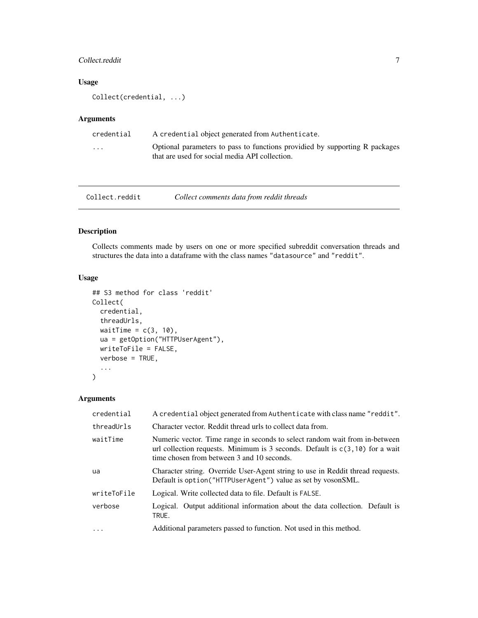# <span id="page-6-0"></span>Collect.reddit 7

# Usage

Collect(credential, ...)

# Arguments

| credential | A credential object generated from Authenticate.                                                                              |
|------------|-------------------------------------------------------------------------------------------------------------------------------|
| .          | Optional parameters to pass to functions providied by supporting R packages<br>that are used for social media API collection. |

<span id="page-6-1"></span>

| Collect.reddit | Collect comments data from reddit threads |
|----------------|-------------------------------------------|
|----------------|-------------------------------------------|

# Description

Collects comments made by users on one or more specified subreddit conversation threads and structures the data into a dataframe with the class names "datasource" and "reddit".

#### Usage

```
## S3 method for class 'reddit'
Collect(
 credential,
  threadUrls,
 waitTime = c(3, 10),
 ua = getOption("HTTPUserAgent"),
 writeToFile = FALSE,
  verbose = TRUE,
  ...
\mathcal{L}
```
# Arguments

| credential  | A credential object generated from Authenticate with class name "reddit".                                                                                                                                    |
|-------------|--------------------------------------------------------------------------------------------------------------------------------------------------------------------------------------------------------------|
| threadUrls  | Character vector. Reddit thread urls to collect data from.                                                                                                                                                   |
| waitTime    | Numeric vector. Time range in seconds to select random wait from in-between<br>url collection requests. Minimum is 3 seconds. Default is $c(3, 10)$ for a wait<br>time chosen from between 3 and 10 seconds. |
| ua          | Character string. Override User-Agent string to use in Reddit thread requests.<br>Default is option("HTTPUserAgent") value as set by vosonSML.                                                               |
| writeToFile | Logical. Write collected data to file. Default is FALSE.                                                                                                                                                     |
| verbose     | Logical. Output additional information about the data collection. Default is<br>TRUE.                                                                                                                        |
| .           | Additional parameters passed to function. Not used in this method.                                                                                                                                           |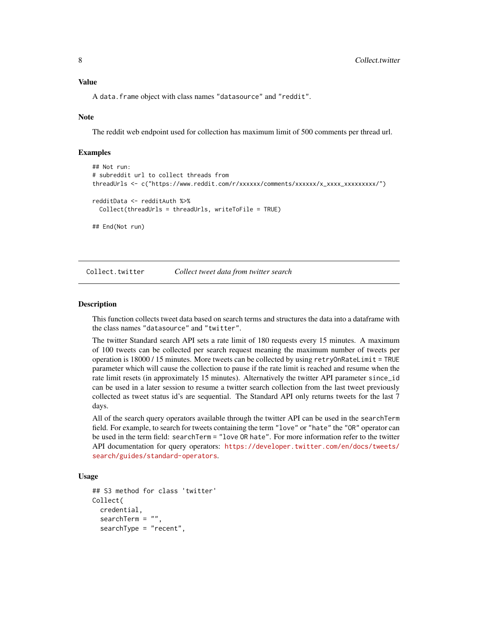# <span id="page-7-0"></span>Value

A data.frame object with class names "datasource" and "reddit".

# **Note**

The reddit web endpoint used for collection has maximum limit of 500 comments per thread url.

# Examples

```
## Not run:
# subreddit url to collect threads from
threadUrls <- c("https://www.reddit.com/r/xxxxxx/comments/xxxxxx/x_xxxx_xxxxxxxxx/")
redditData <- redditAuth %>%
 Collect(threadUrls = threadUrls, writeToFile = TRUE)
## End(Not run)
```
<span id="page-7-1"></span>Collect.twitter *Collect tweet data from twitter search*

#### Description

This function collects tweet data based on search terms and structures the data into a dataframe with the class names "datasource" and "twitter".

The twitter Standard search API sets a rate limit of 180 requests every 15 minutes. A maximum of 100 tweets can be collected per search request meaning the maximum number of tweets per operation is 18000 / 15 minutes. More tweets can be collected by using retryOnRateLimit = TRUE parameter which will cause the collection to pause if the rate limit is reached and resume when the rate limit resets (in approximately 15 minutes). Alternatively the twitter API parameter since\_id can be used in a later session to resume a twitter search collection from the last tweet previously collected as tweet status id's are sequential. The Standard API only returns tweets for the last 7 days.

All of the search query operators available through the twitter API can be used in the searchTerm field. For example, to search for tweets containing the term "love" or "hate" the "OR" operator can be used in the term field: searchTerm = "love OR hate". For more information refer to the twitter API documentation for query operators: [https://developer.twitter.com/en/docs/tweets/](https://developer.twitter.com/en/docs/tweets/search/guides/standard-operators) [search/guides/standard-operators](https://developer.twitter.com/en/docs/tweets/search/guides/standard-operators).

```
## S3 method for class 'twitter'
Collect(
  credential,
  searchTerm = "",
  searchType = "recent",
```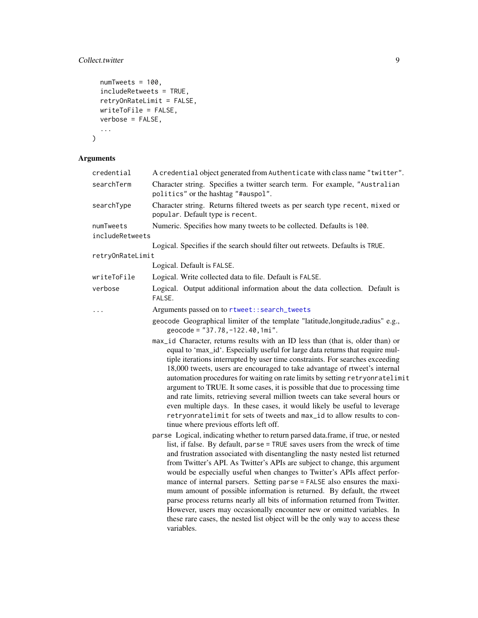# <span id="page-8-0"></span>Collect.twitter 9

```
numTweets = 100,
  includeRetweets = TRUE,
 retryOnRateLimit = FALSE,
 writeToFile = FALSE,
 verbose = FALSE,
  ...
)
```
# Arguments

| credential                   | A credential object generated from Authenticate with class name "twitter".                                                                                                                                                                                                                                                                                                                                                                                                                                                                                                                                                                                                                                                                                                                                              |
|------------------------------|-------------------------------------------------------------------------------------------------------------------------------------------------------------------------------------------------------------------------------------------------------------------------------------------------------------------------------------------------------------------------------------------------------------------------------------------------------------------------------------------------------------------------------------------------------------------------------------------------------------------------------------------------------------------------------------------------------------------------------------------------------------------------------------------------------------------------|
| searchTerm                   | Character string. Specifies a twitter search term. For example, "Australian<br>politics" or the hashtag "#auspol".                                                                                                                                                                                                                                                                                                                                                                                                                                                                                                                                                                                                                                                                                                      |
| searchType                   | Character string. Returns filtered tweets as per search type recent, mixed or<br>popular. Default type is recent.                                                                                                                                                                                                                                                                                                                                                                                                                                                                                                                                                                                                                                                                                                       |
| numTweets<br>includeRetweets | Numeric. Specifies how many tweets to be collected. Defaults is 100.                                                                                                                                                                                                                                                                                                                                                                                                                                                                                                                                                                                                                                                                                                                                                    |
|                              | Logical. Specifies if the search should filter out retweets. Defaults is TRUE.                                                                                                                                                                                                                                                                                                                                                                                                                                                                                                                                                                                                                                                                                                                                          |
| retryOnRateLimit             |                                                                                                                                                                                                                                                                                                                                                                                                                                                                                                                                                                                                                                                                                                                                                                                                                         |
|                              | Logical. Default is FALSE.                                                                                                                                                                                                                                                                                                                                                                                                                                                                                                                                                                                                                                                                                                                                                                                              |
| writeToFile                  | Logical. Write collected data to file. Default is FALSE.                                                                                                                                                                                                                                                                                                                                                                                                                                                                                                                                                                                                                                                                                                                                                                |
| verbose                      | Logical. Output additional information about the data collection. Default is<br>FALSE.                                                                                                                                                                                                                                                                                                                                                                                                                                                                                                                                                                                                                                                                                                                                  |
| .                            | Arguments passed on to rtweet::search_tweets                                                                                                                                                                                                                                                                                                                                                                                                                                                                                                                                                                                                                                                                                                                                                                            |
|                              | geocode Geographical limiter of the template "latitude,longitude,radius" e.g.,<br>geocode = "37.78, -122.40, 1mi".                                                                                                                                                                                                                                                                                                                                                                                                                                                                                                                                                                                                                                                                                                      |
|                              | max_id Character, returns results with an ID less than (that is, older than) or<br>equal to 'max_id'. Especially useful for large data returns that require mul-<br>tiple iterations interrupted by user time constraints. For searches exceeding<br>18,000 tweets, users are encouraged to take advantage of rtweet's internal<br>automation procedures for waiting on rate limits by setting retryonratelimit<br>argument to TRUE. It some cases, it is possible that due to processing time<br>and rate limits, retrieving several million tweets can take several hours or<br>even multiple days. In these cases, it would likely be useful to leverage<br>retryonratelimit for sets of tweets and max_id to allow results to con-<br>tinue where previous efforts left off.                                        |
|                              | parse Logical, indicating whether to return parsed data.frame, if true, or nested<br>list, if false. By default, parse = TRUE saves users from the wreck of time<br>and frustration associated with disentangling the nasty nested list returned<br>from Twitter's API. As Twitter's APIs are subject to change, this argument<br>would be especially useful when changes to Twitter's APIs affect perfor-<br>mance of internal parsers. Setting parse = FALSE also ensures the maxi-<br>mum amount of possible information is returned. By default, the rtweet<br>parse process returns nearly all bits of information returned from Twitter.<br>However, users may occasionally encounter new or omitted variables. In<br>these rare cases, the nested list object will be the only way to access these<br>variables. |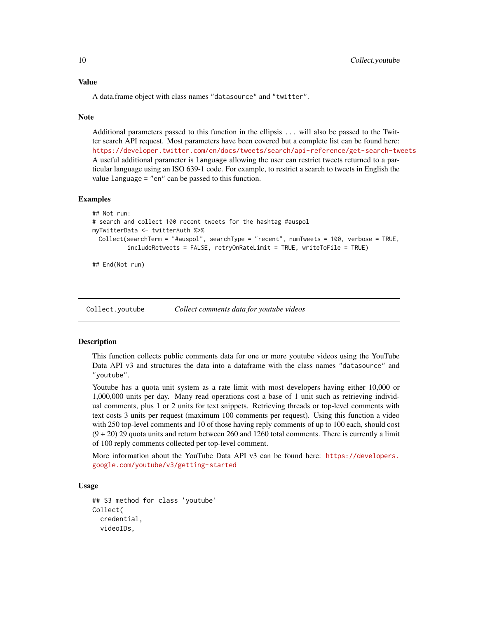#### Value

A data.frame object with class names "datasource" and "twitter".

#### Note

Additional parameters passed to this function in the ellipsis ... will also be passed to the Twitter search API request. Most parameters have been covered but a complete list can be found here: <https://developer.twitter.com/en/docs/tweets/search/api-reference/get-search-tweets> A useful additional parameter is language allowing the user can restrict tweets returned to a particular language using an ISO 639-1 code. For example, to restrict a search to tweets in English the value language = "en" can be passed to this function.

#### Examples

```
## Not run:
# search and collect 100 recent tweets for the hashtag #auspol
myTwitterData <- twitterAuth %>%
 Collect(searchTerm = "#auspol", searchType = "recent", numTweets = 100, verbose = TRUE,
          includeRetweets = FALSE, retryOnRateLimit = TRUE, writeToFile = TRUE)
```
## End(Not run)

<span id="page-9-1"></span>

Collect.youtube *Collect comments data for youtube videos*

#### **Description**

This function collects public comments data for one or more youtube videos using the YouTube Data API v3 and structures the data into a dataframe with the class names "datasource" and "youtube".

Youtube has a quota unit system as a rate limit with most developers having either 10,000 or 1,000,000 units per day. Many read operations cost a base of 1 unit such as retrieving individual comments, plus 1 or 2 units for text snippets. Retrieving threads or top-level comments with text costs 3 units per request (maximum 100 comments per request). Using this function a video with 250 top-level comments and 10 of those having reply comments of up to 100 each, should cost  $(9 + 20)$  29 quota units and return between 260 and 1260 total comments. There is currently a limit of 100 reply comments collected per top-level comment.

More information about the YouTube Data API v3 can be found here: [https://developers.](https://developers.google.com/youtube/v3/getting-started) [google.com/youtube/v3/getting-started](https://developers.google.com/youtube/v3/getting-started)

```
## S3 method for class 'youtube'
Collect(
  credential,
  videoIDs,
```
<span id="page-9-0"></span>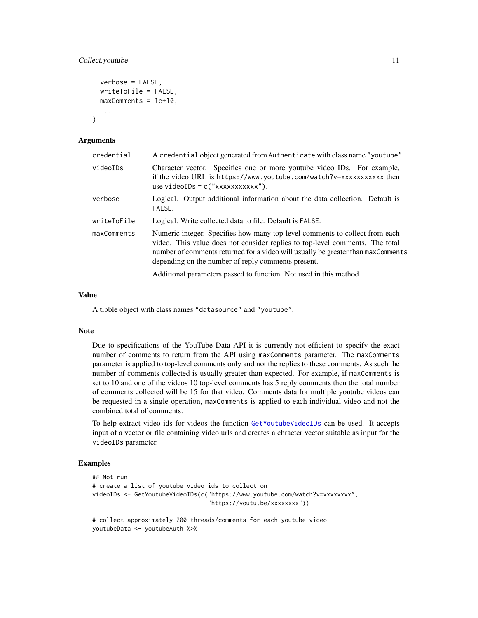# <span id="page-10-0"></span>Collect.youtube 11

```
verbose = FALSE,
writeToFile = FALSE,
maxComments = 1e+10,
...
```
#### Arguments

)

| credential  | A credential object generated from Authenticate with class name "youtube".                                                                                                                                                                                                                             |
|-------------|--------------------------------------------------------------------------------------------------------------------------------------------------------------------------------------------------------------------------------------------------------------------------------------------------------|
| videoIDs    | Character vector. Specifies one or more youtube video IDs. For example,<br>if the video URL is https://www.youtube.com/watch?v=xxxxxxxxxxx then<br>use videoIDs = $c("xxxxxxxxxx"$ ).                                                                                                                  |
| verbose     | Logical. Output additional information about the data collection. Default is<br>FALSE.                                                                                                                                                                                                                 |
| writeToFile | Logical. Write collected data to file. Default is FALSE.                                                                                                                                                                                                                                               |
| maxComments | Numeric integer. Specifies how many top-level comments to collect from each<br>video. This value does not consider replies to top-level comments. The total<br>number of comments returned for a video will usually be greater than max Comments<br>depending on the number of reply comments present. |
|             | Additional parameters passed to function. Not used in this method.                                                                                                                                                                                                                                     |

#### Value

A tibble object with class names "datasource" and "youtube".

#### Note

Due to specifications of the YouTube Data API it is currently not efficient to specify the exact number of comments to return from the API using maxComments parameter. The maxComments parameter is applied to top-level comments only and not the replies to these comments. As such the number of comments collected is usually greater than expected. For example, if maxComments is set to 10 and one of the videos 10 top-level comments has 5 reply comments then the total number of comments collected will be 15 for that video. Comments data for multiple youtube videos can be requested in a single operation, maxComments is applied to each individual video and not the combined total of comments.

To help extract video ids for videos the function [GetYoutubeVideoIDs](#page-27-1) can be used. It accepts input of a vector or file containing video urls and creates a chracter vector suitable as input for the videoIDs parameter.

# Examples

```
## Not run:
# create a list of youtube video ids to collect on
videoIDs <- GetYoutubeVideoIDs(c("https://www.youtube.com/watch?v=xxxxxxxx",
                                 "https://youtu.be/xxxxxxxx"))
```
# collect approximately 200 threads/comments for each youtube video youtubeData <- youtubeAuth %>%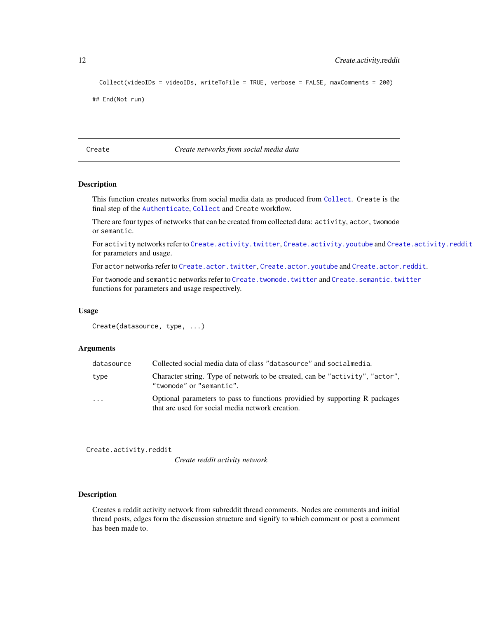```
Collect(videoIDs = videoIDs, writeToFile = TRUE, verbose = FALSE, maxComments = 200)
```
## End(Not run)

<span id="page-11-1"></span>Create *Create networks from social media data*

# Description

This function creates networks from social media data as produced from [Collect](#page-5-1). Create is the final step of the [Authenticate](#page-2-2), [Collect](#page-5-1) and Create workflow.

There are four types of networks that can be created from collected data: activity, actor, twomode or semantic.

For activity networks refer to [Create.activity.twitter](#page-12-1), [Create.activity.youtube](#page-13-1) and [Create.activity.reddit](#page-11-2) for parameters and usage.

For actor networks refer to [Create.actor.twitter](#page-15-1), [Create.actor.youtube](#page-16-1) and [Create.actor.reddit](#page-14-1).

For twomode and semantic networks refer to [Create.twomode.twitter](#page-19-1) and [Create.semantic.twitter](#page-17-1) functions for parameters and usage respectively.

#### Usage

```
Create(datasource, type, ...)
```
# Arguments

| datasource | Collected social media data of class "datasource" and socialmedia.                                                             |
|------------|--------------------------------------------------------------------------------------------------------------------------------|
| type       | Character string. Type of network to be created, can be "activity", "actor",<br>"twomode" or "semantic".                       |
| $\cdot$    | Optional parameters to pass to functions provided by supporting R packages<br>that are used for social media network creation. |

<span id="page-11-2"></span>Create.activity.reddit

*Create reddit activity network*

#### Description

Creates a reddit activity network from subreddit thread comments. Nodes are comments and initial thread posts, edges form the discussion structure and signify to which comment or post a comment has been made to.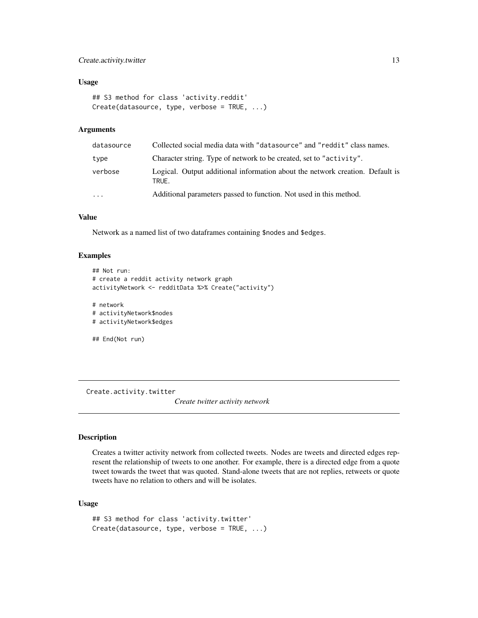# <span id="page-12-0"></span>Create.activity.twitter 13

# Usage

```
## S3 method for class 'activity.reddit'
Create(datasource, type, verbose = TRUE, ...)
```
#### Arguments

| datasource | Collected social media data with "datasource" and "reddit" class names.                |
|------------|----------------------------------------------------------------------------------------|
| type       | Character string. Type of network to be created, set to "activity".                    |
| verbose    | Logical. Output additional information about the network creation. Default is<br>TRUE. |
| $\cdot$    | Additional parameters passed to function. Not used in this method.                     |

# Value

Network as a named list of two dataframes containing \$nodes and \$edges.

## Examples

```
## Not run:
# create a reddit activity network graph
activityNetwork <- redditData %>% Create("activity")
# network
# activityNetwork$nodes
# activityNetwork$edges
```
## End(Not run)

<span id="page-12-1"></span>Create.activity.twitter

*Create twitter activity network*

# Description

Creates a twitter activity network from collected tweets. Nodes are tweets and directed edges represent the relationship of tweets to one another. For example, there is a directed edge from a quote tweet towards the tweet that was quoted. Stand-alone tweets that are not replies, retweets or quote tweets have no relation to others and will be isolates.

```
## S3 method for class 'activity.twitter'
Create(datasource, type, verbose = TRUE, ...)
```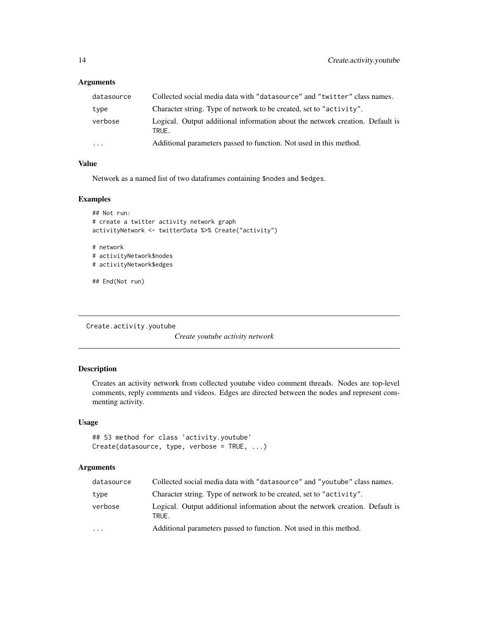<span id="page-13-0"></span>

| datasource        | Collected social media data with "datasource" and "twitter" class names.               |
|-------------------|----------------------------------------------------------------------------------------|
| type              | Character string. Type of network to be created, set to "activity".                    |
| verbose           | Logical. Output additional information about the network creation. Default is<br>TRUE. |
| $\cdot\cdot\cdot$ | Additional parameters passed to function. Not used in this method.                     |

# Value

Network as a named list of two dataframes containing \$nodes and \$edges.

## Examples

```
## Not run:
# create a twitter activity network graph
activityNetwork <- twitterData %>% Create("activity")
# network
# activityNetwork$nodes
# activityNetwork$edges
## End(Not run)
```
<span id="page-13-1"></span>Create.activity.youtube

*Create youtube activity network*

# Description

Creates an activity network from collected youtube video comment threads. Nodes are top-level comments, reply comments and videos. Edges are directed between the nodes and represent commenting activity.

# Usage

```
## S3 method for class 'activity.youtube'
Create(datasource, type, verbose = TRUE, ...)
```
# Arguments

| datasource | Collected social media data with "datasource" and "youtube" class names.               |
|------------|----------------------------------------------------------------------------------------|
| type       | Character string. Type of network to be created, set to "activity".                    |
| verbose    | Logical. Output additional information about the network creation. Default is<br>TRUE. |
| $\cdot$    | Additional parameters passed to function. Not used in this method.                     |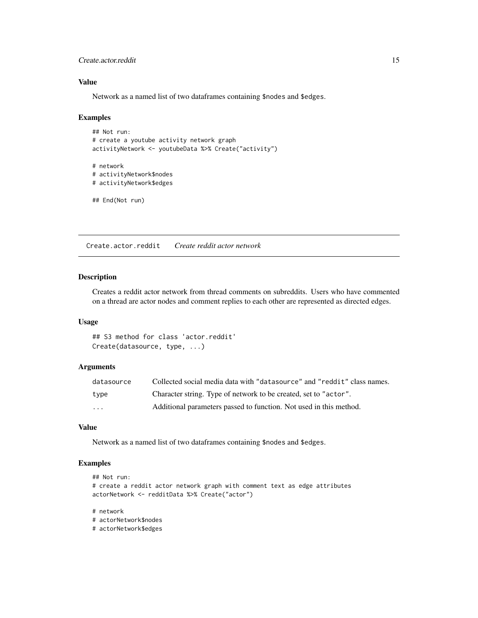# <span id="page-14-0"></span>Create.actor.reddit 15

# Value

Network as a named list of two dataframes containing \$nodes and \$edges.

#### Examples

```
## Not run:
# create a youtube activity network graph
activityNetwork <- youtubeData %>% Create("activity")
# network
# activityNetwork$nodes
# activityNetwork$edges
## End(Not run)
```
<span id="page-14-1"></span>Create.actor.reddit *Create reddit actor network*

# Description

Creates a reddit actor network from thread comments on subreddits. Users who have commented on a thread are actor nodes and comment replies to each other are represented as directed edges.

## Usage

## S3 method for class 'actor.reddit' Create(datasource, type, ...)

#### **Arguments**

| datasource              | Collected social media data with "datasource" and "reddit" class names. |
|-------------------------|-------------------------------------------------------------------------|
| type                    | Character string. Type of network to be created, set to "actor".        |
| $\cdot$ $\cdot$ $\cdot$ | Additional parameters passed to function. Not used in this method.      |

# Value

Network as a named list of two dataframes containing \$nodes and \$edges.

# Examples

```
## Not run:
# create a reddit actor network graph with comment text as edge attributes
actorNetwork <- redditData %>% Create("actor")
```
#### # network

# actorNetwork\$nodes

# actorNetwork\$edges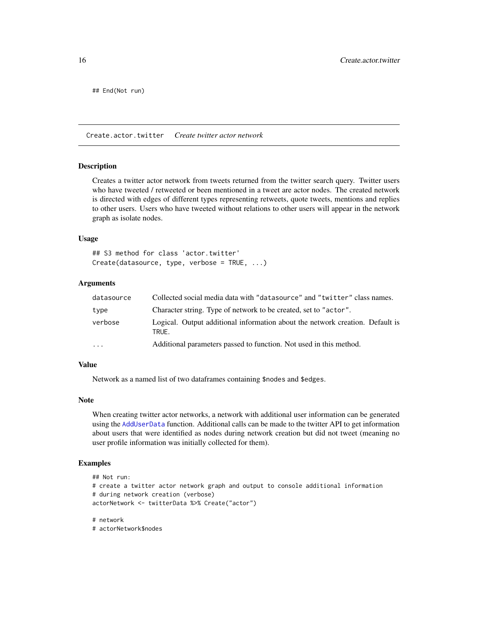<span id="page-15-0"></span>## End(Not run)

<span id="page-15-1"></span>Create.actor.twitter *Create twitter actor network*

#### Description

Creates a twitter actor network from tweets returned from the twitter search query. Twitter users who have tweeted / retweeted or been mentioned in a tweet are actor nodes. The created network is directed with edges of different types representing retweets, quote tweets, mentions and replies to other users. Users who have tweeted without relations to other users will appear in the network graph as isolate nodes.

#### Usage

## S3 method for class 'actor.twitter' Create(datasource, type, verbose = TRUE, ...)

# Arguments

| datasource | Collected social media data with "datasource" and "twitter" class names.               |
|------------|----------------------------------------------------------------------------------------|
| type       | Character string. Type of network to be created, set to "actor".                       |
| verbose    | Logical. Output additional information about the network creation. Default is<br>TRUE. |
| $\cdots$   | Additional parameters passed to function. Not used in this method.                     |

# Value

Network as a named list of two dataframes containing \$nodes and \$edges.

# Note

When creating twitter actor networks, a network with additional user information can be generated using the [AddUserData](#page-24-1) function. Additional calls can be made to the twitter API to get information about users that were identified as nodes during network creation but did not tweet (meaning no user profile information was initially collected for them).

# Examples

```
## Not run:
# create a twitter actor network graph and output to console additional information
# during network creation (verbose)
actorNetwork <- twitterData %>% Create("actor")
```

```
# network
```

```
# actorNetwork$nodes
```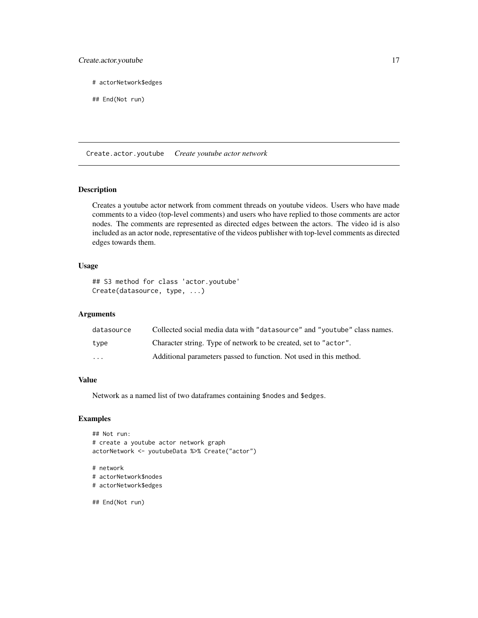# <span id="page-16-0"></span>Create.actor.youtube 17

# actorNetwork\$edges

## End(Not run)

<span id="page-16-1"></span>Create.actor.youtube *Create youtube actor network*

# Description

Creates a youtube actor network from comment threads on youtube videos. Users who have made comments to a video (top-level comments) and users who have replied to those comments are actor nodes. The comments are represented as directed edges between the actors. The video id is also included as an actor node, representative of the videos publisher with top-level comments as directed edges towards them.

# Usage

## S3 method for class 'actor.youtube' Create(datasource, type, ...)

# Arguments

| datasource | Collected social media data with "datasource" and "youtube" class names. |
|------------|--------------------------------------------------------------------------|
| type       | Character string. Type of network to be created, set to "actor".         |
| .          | Additional parameters passed to function. Not used in this method.       |

# Value

Network as a named list of two dataframes containing \$nodes and \$edges.

# Examples

```
## Not run:
# create a youtube actor network graph
actorNetwork <- youtubeData %>% Create("actor")
# network
# actorNetwork$nodes
# actorNetwork$edges
## End(Not run)
```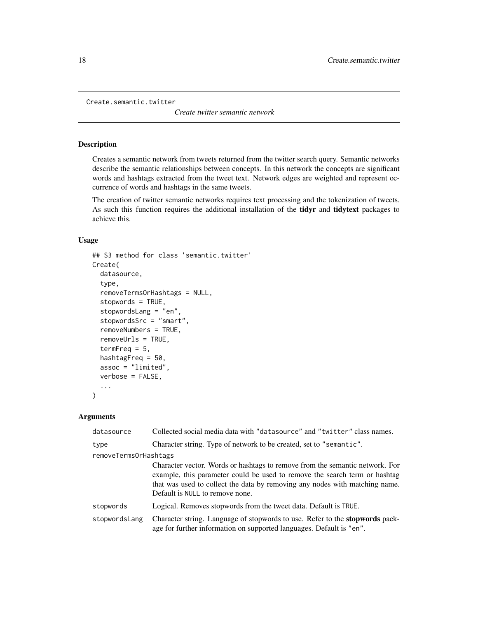```
Create.semantic.twitter
```
*Create twitter semantic network*

#### Description

Creates a semantic network from tweets returned from the twitter search query. Semantic networks describe the semantic relationships between concepts. In this network the concepts are significant words and hashtags extracted from the tweet text. Network edges are weighted and represent occurrence of words and hashtags in the same tweets.

The creation of twitter semantic networks requires text processing and the tokenization of tweets. As such this function requires the additional installation of the **tidyr** and **tidytext** packages to achieve this.

# Usage

```
## S3 method for class 'semantic.twitter'
Create(
  datasource,
  type,
  removeTermsOrHashtags = NULL,
  stopwords = TRUE,
  stopwordsLang = "en",
  stopwordsSrc = "smart",
  removeNumbers = TRUE,
  removeUrls = TRUE,
  termFreq = 5,
  hashtagFreq = 50,
  assoc = "limited",
  verbose = FALSE,
  ...
)
```
# Arguments

| datasource            | Collected social media data with "datasource" and "twitter" class names.                                                                                                                                                                                                     |
|-----------------------|------------------------------------------------------------------------------------------------------------------------------------------------------------------------------------------------------------------------------------------------------------------------------|
| type                  | Character string. Type of network to be created, set to "semantic".                                                                                                                                                                                                          |
| removeTermsOrHashtags |                                                                                                                                                                                                                                                                              |
|                       | Character vector. Words or hashtags to remove from the semantic network. For<br>example, this parameter could be used to remove the search term or hashtag<br>that was used to collect the data by removing any nodes with matching name.<br>Default is NULL to remove none. |
| stopwords             | Logical. Removes stopwords from the tweet data. Default is TRUE.                                                                                                                                                                                                             |
| stopwordsLang         | Character string. Language of stopwords to use. Refer to the stopwords pack-<br>age for further information on supported languages. Default is "en".                                                                                                                         |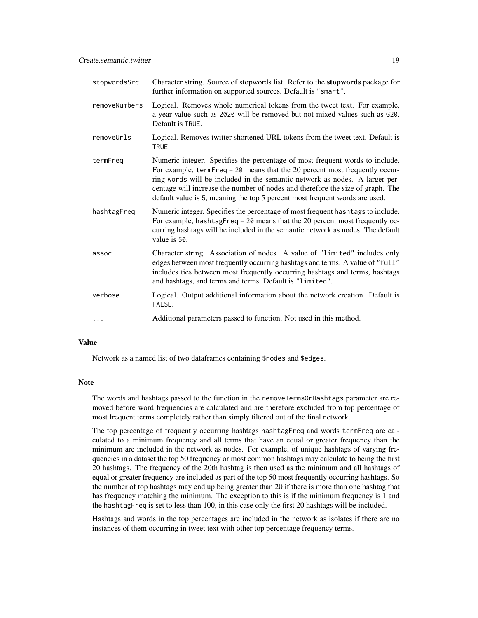| stopwordsSrc  | Character string. Source of stopwords list. Refer to the stopwords package for<br>further information on supported sources. Default is "smart".                                                                                                                                                                                                                                                               |
|---------------|---------------------------------------------------------------------------------------------------------------------------------------------------------------------------------------------------------------------------------------------------------------------------------------------------------------------------------------------------------------------------------------------------------------|
| removeNumbers | Logical. Removes whole numerical tokens from the tweet text. For example,<br>a year value such as 2020 will be removed but not mixed values such as G20.<br>Default is TRUE.                                                                                                                                                                                                                                  |
| removeUrls    | Logical. Removes twitter shortened URL tokens from the tweet text. Default is<br>TRUE.                                                                                                                                                                                                                                                                                                                        |
| termFreq      | Numeric integer. Specifies the percentage of most frequent words to include.<br>For example, $termFreq = 20$ means that the 20 percent most frequently occur-<br>ring words will be included in the semantic network as nodes. A larger per-<br>centage will increase the number of nodes and therefore the size of graph. The<br>default value is 5, meaning the top 5 percent most frequent words are used. |
| hashtagFreq   | Numeric integer. Specifies the percentage of most frequent hashtags to include.<br>For example, hashtagFreq = 20 means that the 20 percent most frequently oc-<br>curring hashtags will be included in the semantic network as nodes. The default<br>value is 50.                                                                                                                                             |
| assoc         | Character string. Association of nodes. A value of "limited" includes only<br>edges between most frequently occurring hashtags and terms. A value of "full"<br>includes ties between most frequently occurring hashtags and terms, hashtags<br>and hashtags, and terms and terms. Default is "limited".                                                                                                       |
| verbose       | Logical. Output additional information about the network creation. Default is<br>FALSE.                                                                                                                                                                                                                                                                                                                       |
| $\cdots$      | Additional parameters passed to function. Not used in this method.                                                                                                                                                                                                                                                                                                                                            |

#### Value

Network as a named list of two dataframes containing \$nodes and \$edges.

## Note

The words and hashtags passed to the function in the removeTermsOrHashtags parameter are removed before word frequencies are calculated and are therefore excluded from top percentage of most frequent terms completely rather than simply filtered out of the final network.

The top percentage of frequently occurring hashtags hashtagFreq and words termFreq are calculated to a minimum frequency and all terms that have an equal or greater frequency than the minimum are included in the network as nodes. For example, of unique hashtags of varying frequencies in a dataset the top 50 frequency or most common hashtags may calculate to being the first 20 hashtags. The frequency of the 20th hashtag is then used as the minimum and all hashtags of equal or greater frequency are included as part of the top 50 most frequently occurring hashtags. So the number of top hashtags may end up being greater than 20 if there is more than one hashtag that has frequency matching the minimum. The exception to this is if the minimum frequency is 1 and the hashtagFreq is set to less than 100, in this case only the first 20 hashtags will be included.

Hashtags and words in the top percentages are included in the network as isolates if there are no instances of them occurring in tweet text with other top percentage frequency terms.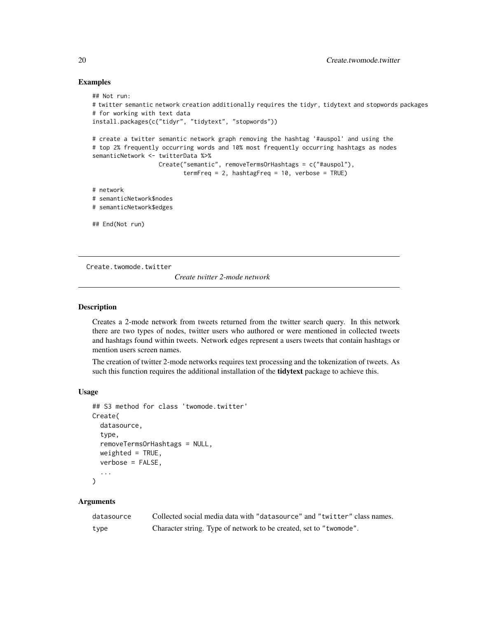# Examples

```
## Not run:
# twitter semantic network creation additionally requires the tidyr, tidytext and stopwords packages
# for working with text data
install.packages(c("tidyr", "tidytext", "stopwords"))
# create a twitter semantic network graph removing the hashtag '#auspol' and using the
# top 2% frequently occurring words and 10% most frequently occurring hashtags as nodes
semanticNetwork <- twitterData %>%
                   Create("semantic", removeTermsOrHashtags = c("#auspol"),
                          termFreq = 2, hashtagFreq = 10, verbose = TRUE)
# network
# semanticNetwork$nodes
# semanticNetwork$edges
## End(Not run)
```
<span id="page-19-1"></span>Create.twomode.twitter

*Create twitter 2-mode network*

#### **Description**

Creates a 2-mode network from tweets returned from the twitter search query. In this network there are two types of nodes, twitter users who authored or were mentioned in collected tweets and hashtags found within tweets. Network edges represent a users tweets that contain hashtags or mention users screen names.

The creation of twitter 2-mode networks requires text processing and the tokenization of tweets. As such this function requires the additional installation of the **tidytext** package to achieve this.

#### Usage

```
## S3 method for class 'twomode.twitter'
Create(
  datasource,
  type,
  removeTermsOrHashtags = NULL,
  weighted = TRUE,
  verbose = FALSE,
  ...
\mathcal{L}
```
# Arguments

| datasource | Collected social media data with "datasource" and "twitter" class names. |
|------------|--------------------------------------------------------------------------|
| type       | Character string. Type of network to be created, set to "two mode".      |

<span id="page-19-0"></span>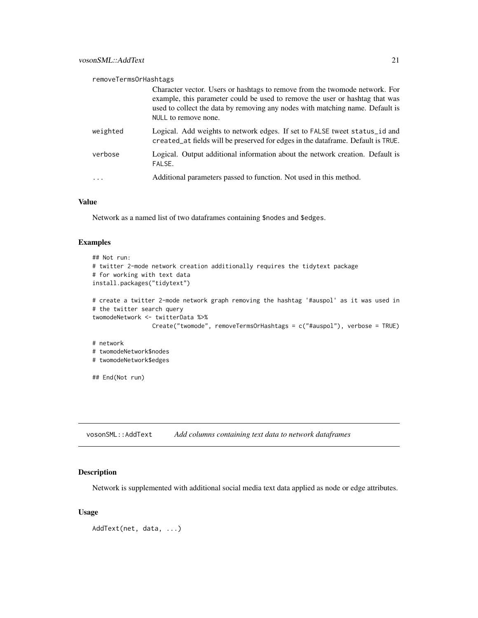<span id="page-20-0"></span>removeTermsOrHashtags

|          | Character vector. Users or hashtags to remove from the twomode network. For<br>example, this parameter could be used to remove the user or hashtag that was<br>used to collect the data by removing any nodes with matching name. Default is<br>NULL to remove none. |
|----------|----------------------------------------------------------------------------------------------------------------------------------------------------------------------------------------------------------------------------------------------------------------------|
| weighted | Logical. Add weights to network edges. If set to FALSE tweet status id and<br>created_at fields will be preserved for edges in the dataframe. Default is TRUE.                                                                                                       |
| verbose  | Logical. Output additional information about the network creation. Default is<br>FALSE.                                                                                                                                                                              |
|          | Additional parameters passed to function. Not used in this method.                                                                                                                                                                                                   |

# Value

Network as a named list of two dataframes containing \$nodes and \$edges.

## Examples

```
## Not run:
# twitter 2-mode network creation additionally requires the tidytext package
# for working with text data
install.packages("tidytext")
# create a twitter 2-mode network graph removing the hashtag '#auspol' as it was used in
# the twitter search query
twomodeNetwork <- twitterData %>%
                 Create("twomode", removeTermsOrHashtags = c("#auspol"), verbose = TRUE)
# network
# twomodeNetwork$nodes
# twomodeNetwork$edges
## End(Not run)
```
vosonSML::AddText *Add columns containing text data to network dataframes*

# Description

Network is supplemented with additional social media text data applied as node or edge attributes.

#### Usage

AddText(net, data, ...)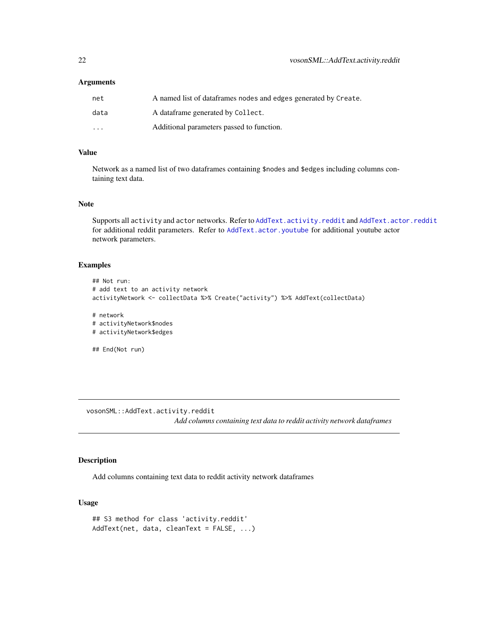<span id="page-21-0"></span>

| net                     | A named list of dataframes nodes and edges generated by Create. |
|-------------------------|-----------------------------------------------------------------|
| data                    | A dataframe generated by Collect.                               |
| $\cdot$ $\cdot$ $\cdot$ | Additional parameters passed to function.                       |

#### Value

Network as a named list of two dataframes containing \$nodes and \$edges including columns containing text data.

#### Note

Supports all activity and actor networks. Refer to [AddText.activity.reddit](#page-21-1) and [AddText.actor.reddit](#page-22-1) for additional reddit parameters. Refer to [AddText.actor.youtube](#page-23-1) for additional youtube actor network parameters.

## Examples

```
## Not run:
# add text to an activity network
activityNetwork <- collectData %>% Create("activity") %>% AddText(collectData)
# network
# activityNetwork$nodes
# activityNetwork$edges
## End(Not run)
```
vosonSML::AddText.activity.reddit *Add columns containing text data to reddit activity network dataframes*

# <span id="page-21-1"></span>Description

Add columns containing text data to reddit activity network dataframes

```
## S3 method for class 'activity.reddit'
AddText(net, data, cleanText = FALSE, ...)
```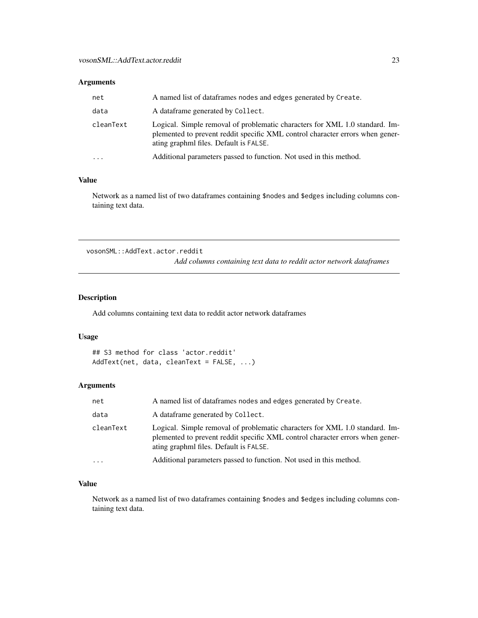<span id="page-22-0"></span>

| net       | A named list of dataframes nodes and edges generated by Create.                                                                                                                                        |
|-----------|--------------------------------------------------------------------------------------------------------------------------------------------------------------------------------------------------------|
| data      | A dataframe generated by Collect.                                                                                                                                                                      |
| cleanText | Logical. Simple removal of problematic characters for XML 1.0 standard. Im-<br>plemented to prevent reddit specific XML control character errors when gener-<br>ating graphml files. Default is FALSE. |
| $\cdots$  | Additional parameters passed to function. Not used in this method.                                                                                                                                     |

# Value

Network as a named list of two dataframes containing \$nodes and \$edges including columns containing text data.

vosonSML::AddText.actor.reddit

*Add columns containing text data to reddit actor network dataframes*

# <span id="page-22-1"></span>Description

Add columns containing text data to reddit actor network dataframes

# Usage

```
## S3 method for class 'actor.reddit'
AddText(net, data, cleanText = FALSE, ...)
```
# Arguments

| net       | A named list of dataframes nodes and edges generated by Create.                                                                                                                                        |
|-----------|--------------------------------------------------------------------------------------------------------------------------------------------------------------------------------------------------------|
| data      | A dataframe generated by Collect.                                                                                                                                                                      |
| cleanText | Logical. Simple removal of problematic characters for XML 1.0 standard. Im-<br>plemented to prevent reddit specific XML control character errors when gener-<br>ating graphml files. Default is FALSE. |
|           | Additional parameters passed to function. Not used in this method.                                                                                                                                     |

# Value

Network as a named list of two dataframes containing \$nodes and \$edges including columns containing text data.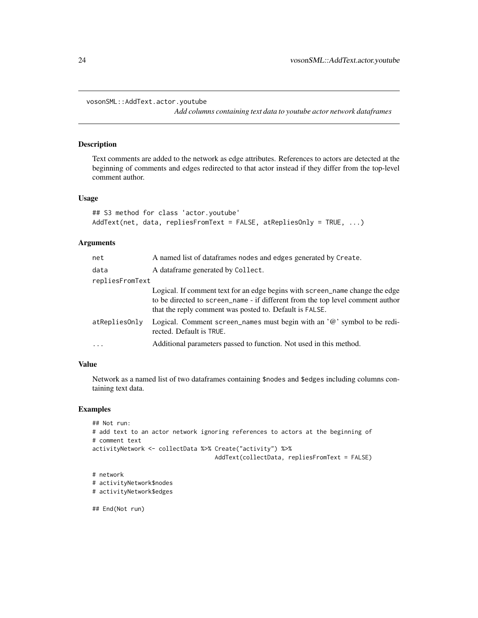<span id="page-23-0"></span>vosonSML::AddText.actor.youtube

*Add columns containing text data to youtube actor network dataframes*

#### <span id="page-23-1"></span>Description

Text comments are added to the network as edge attributes. References to actors are detected at the beginning of comments and edges redirected to that actor instead if they differ from the top-level comment author.

# Usage

```
## S3 method for class 'actor.youtube'
AddText(net, data, repliesFromText = FALSE, atRepliesOnly = TRUE, ...)
```
#### **Arguments**

| net             | A named list of dataframes nodes and edges generated by Create.                                                                                                                                                           |
|-----------------|---------------------------------------------------------------------------------------------------------------------------------------------------------------------------------------------------------------------------|
| data            | A data frame generated by Collect.                                                                                                                                                                                        |
| repliesFromText |                                                                                                                                                                                                                           |
|                 | Logical. If comment text for an edge begins with screen name change the edge<br>to be directed to screen_name - if different from the top level comment author<br>that the reply comment was posted to. Default is FALSE. |
| atRepliesOnly   | Logical. Comment screen names must begin with an $\partial$ ' symbol to be redi-<br>rected. Default is TRUE.                                                                                                              |
| $\ddots$        | Additional parameters passed to function. Not used in this method.                                                                                                                                                        |
|                 |                                                                                                                                                                                                                           |

# Value

Network as a named list of two dataframes containing \$nodes and \$edges including columns containing text data.

## Examples

```
## Not run:
# add text to an actor network ignoring references to actors at the beginning of
# comment text
activityNetwork <- collectData %>% Create("activity") %>%
                                   AddText(collectData, repliesFromText = FALSE)
# network
# activityNetwork$nodes
# activityNetwork$edges
```
## End(Not run)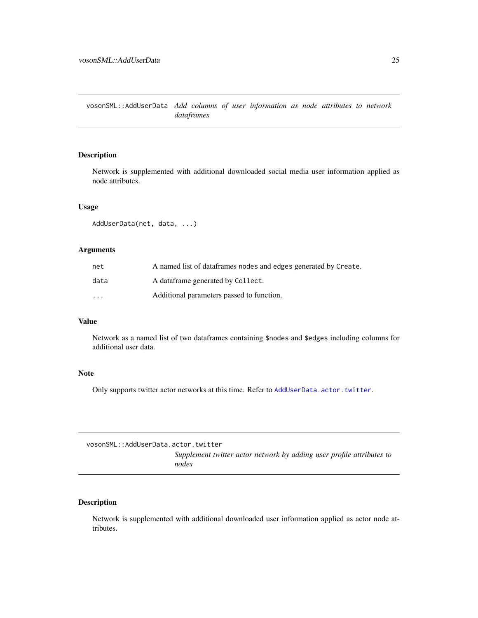<span id="page-24-0"></span>vosonSML::AddUserData *Add columns of user information as node attributes to network dataframes*

# <span id="page-24-1"></span>Description

Network is supplemented with additional downloaded social media user information applied as node attributes.

# Usage

AddUserData(net, data, ...)

# Arguments

| net      | A named list of dataframes nodes and edges generated by Create. |
|----------|-----------------------------------------------------------------|
| data     | A dataframe generated by Collect.                               |
| $\cdots$ | Additional parameters passed to function.                       |

#### Value

Network as a named list of two dataframes containing \$nodes and \$edges including columns for additional user data.

## Note

Only supports twitter actor networks at this time. Refer to [AddUserData.actor.twitter](#page-24-2).

| vosonSML::AddUserData.actor.twitter |                                                                                |
|-------------------------------------|--------------------------------------------------------------------------------|
|                                     | Supplement twitter actor network by adding user profile attributes to<br>nodes |

# <span id="page-24-2"></span>Description

Network is supplemented with additional downloaded user information applied as actor node attributes.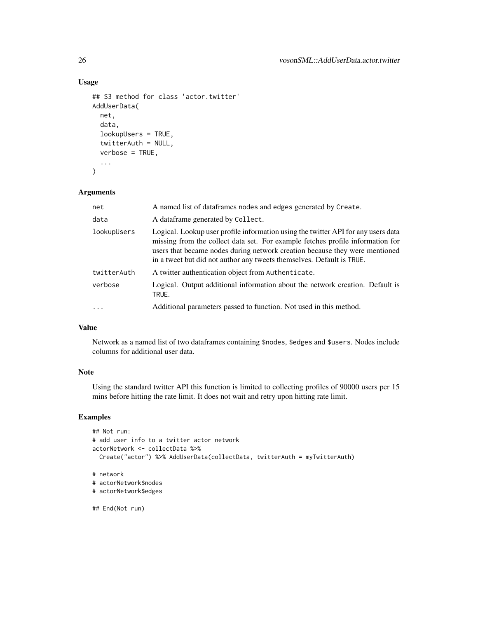# Usage

```
## S3 method for class 'actor.twitter'
AddUserData(
  net,
  data,
  lookupUsers = TRUE,
  twitterAuth = NULL,
  verbose = TRUE,
  ...
)
```
# Arguments

| net         | A named list of dataframes nodes and edges generated by Create.                                                                                                                                                                                                                                                             |
|-------------|-----------------------------------------------------------------------------------------------------------------------------------------------------------------------------------------------------------------------------------------------------------------------------------------------------------------------------|
| data        | A dataframe generated by Collect.                                                                                                                                                                                                                                                                                           |
| lookupUsers | Logical. Lookup user profile information using the twitter API for any users data<br>missing from the collect data set. For example fetches profile information for<br>users that became nodes during network creation because they were mentioned<br>in a tweet but did not author any tweets themselves. Default is TRUE. |
| twitterAuth | A twitter authentication object from Authenticate.                                                                                                                                                                                                                                                                          |
| verbose     | Logical. Output additional information about the network creation. Default is<br>TRUE.                                                                                                                                                                                                                                      |
|             | Additional parameters passed to function. Not used in this method.                                                                                                                                                                                                                                                          |

# Value

Network as a named list of two dataframes containing \$nodes, \$edges and \$users. Nodes include columns for additional user data.

# Note

Using the standard twitter API this function is limited to collecting profiles of 90000 users per 15 mins before hitting the rate limit. It does not wait and retry upon hitting rate limit.

# Examples

```
## Not run:
# add user info to a twitter actor network
actorNetwork <- collectData %>%
  Create("actor") %>% AddUserData(collectData, twitterAuth = myTwitterAuth)
# network
# actorNetwork$nodes
# actorNetwork$edges
```
## End(Not run)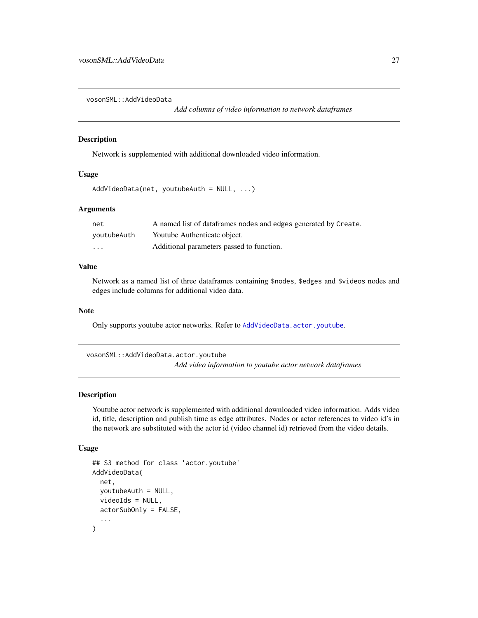<span id="page-26-0"></span>vosonSML::AddVideoData

*Add columns of video information to network dataframes*

#### Description

Network is supplemented with additional downloaded video information.

# Usage

```
AddVideoData(net, youtubeAuth = NULL, ...)
```
# Arguments

| net         | A named list of dataframes nodes and edges generated by Create. |
|-------------|-----------------------------------------------------------------|
| youtubeAuth | Youtube Authenticate object.                                    |
| .           | Additional parameters passed to function.                       |

# Value

Network as a named list of three dataframes containing \$nodes, \$edges and \$videos nodes and edges include columns for additional video data.

# Note

Only supports youtube actor networks. Refer to [AddVideoData.actor.youtube](#page-26-1).

vosonSML::AddVideoData.actor.youtube *Add video information to youtube actor network dataframes*

# <span id="page-26-1"></span>Description

Youtube actor network is supplemented with additional downloaded video information. Adds video id, title, description and publish time as edge attributes. Nodes or actor references to video id's in the network are substituted with the actor id (video channel id) retrieved from the video details.

```
## S3 method for class 'actor.youtube'
AddVideoData(
  net,
 youtubeAuth = NULL,
 videoIds = NULL,actorSubOnly = FALSE,
  ...
)
```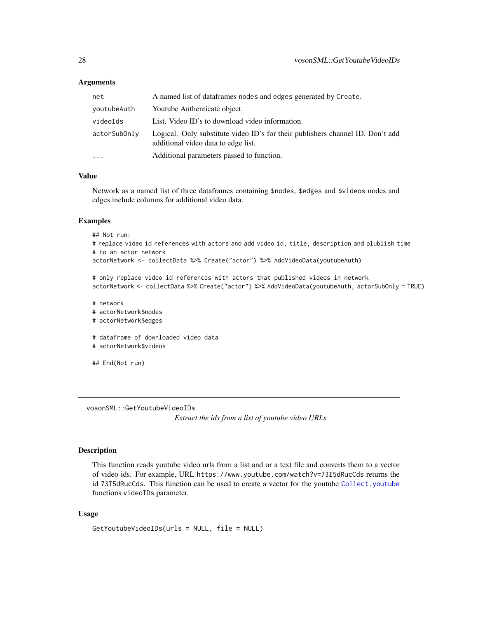<span id="page-27-0"></span>

| net          | A named list of dataframes nodes and edges generated by Create.                                                       |
|--------------|-----------------------------------------------------------------------------------------------------------------------|
| youtubeAuth  | Youtube Authenticate object.                                                                                          |
| videoIds     | List. Video ID's to download video information.                                                                       |
| actorSubOnly | Logical. Only substitute video ID's for their publishers channel ID. Don't add<br>additional video data to edge list. |
| .            | Additional parameters passed to function.                                                                             |
|              |                                                                                                                       |

# Value

Network as a named list of three dataframes containing \$nodes, \$edges and \$videos nodes and edges include columns for additional video data.

#### Examples

## Not run:

# replace video id references with actors and add video id, title, description and plublish time # to an actor network

actorNetwork <- collectData %>% Create("actor") %>% AddVideoData(youtubeAuth)

# only replace video id references with actors that published videos in network actorNetwork <- collectData %>% Create("actor") %>% AddVideoData(youtubeAuth, actorSubOnly = TRUE)

```
# network
# actorNetwork$nodes
# actorNetwork$edges
# dataframe of downloaded video data
# actorNetwork$videos
```
## End(Not run)

vosonSML::GetYoutubeVideoIDs

*Extract the ids from a list of youtube video URLs*

# <span id="page-27-1"></span>Description

This function reads youtube video urls from a list and or a text file and converts them to a vector of video ids. For example, URL https://www.youtube.com/watch?v=73I5dRucCds returns the id 73I5dRucCds. This function can be used to create a vector for the youtube [Collect.youtube](#page-9-1) functions videoIDs parameter.

#### Usage

GetYoutubeVideoIDs(urls = NULL, file = NULL)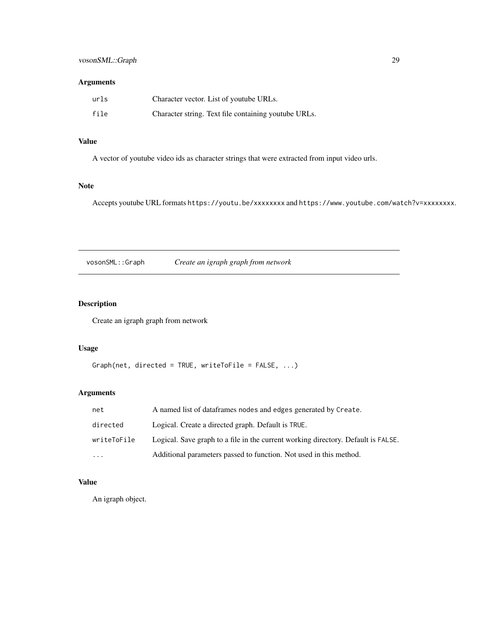<span id="page-28-0"></span>

| urls | Character vector. List of youtube URLs.              |
|------|------------------------------------------------------|
| file | Character string. Text file containing youtube URLs. |

# Value

A vector of youtube video ids as character strings that were extracted from input video urls.

# Note

Accepts youtube URL formats https://youtu.be/xxxxxxxx and https://www.youtube.com/watch?v=xxxxxxxx.

vosonSML::Graph *Create an igraph graph from network*

# Description

Create an igraph graph from network

# Usage

```
Graph(net, directed = TRUE, writeToFile = FALSE, ...)
```
# Arguments

| net         | A named list of dataframes nodes and edges generated by Create.                   |
|-------------|-----------------------------------------------------------------------------------|
| directed    | Logical. Create a directed graph. Default is TRUE.                                |
| writeToFile | Logical. Save graph to a file in the current working directory. Default is FALSE. |
| $\cdot$     | Additional parameters passed to function. Not used in this method.                |

# Value

An igraph object.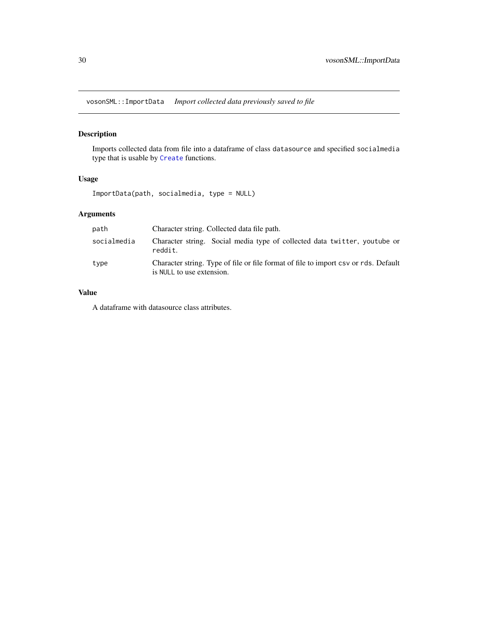<span id="page-29-0"></span>vosonSML::ImportData *Import collected data previously saved to file*

# Description

Imports collected data from file into a dataframe of class datasource and specified socialmedia type that is usable by [Create](#page-11-1) functions.

#### Usage

ImportData(path, socialmedia, type = NULL)

# Arguments

| path        | Character string. Collected data file path.                                                                      |
|-------------|------------------------------------------------------------------------------------------------------------------|
| socialmedia | Character string. Social media type of collected data twitter, youtube or<br>reddit.                             |
| type        | Character string. Type of file or file format of file to import csv or rds. Default<br>is NULL to use extension. |

# Value

A dataframe with datasource class attributes.